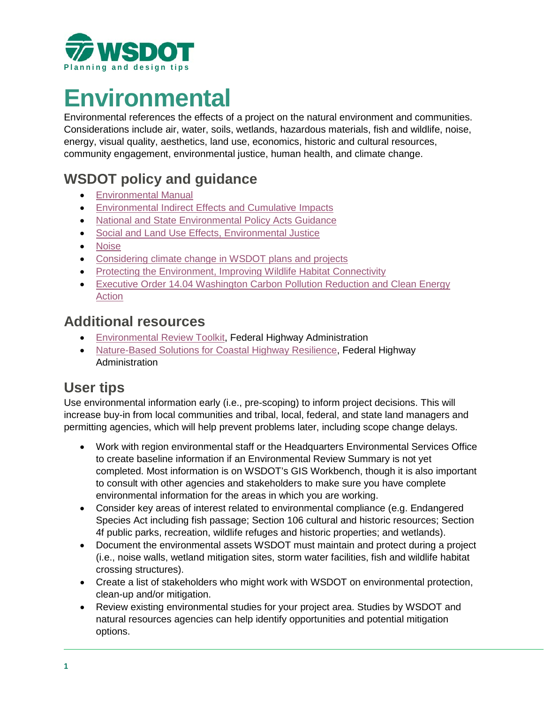

# **Environmental**

Environmental references the effects of a project on the natural environment and communities. Considerations include air, water, soils, wetlands, hazardous materials, fish and wildlife, noise, energy, visual quality, aesthetics, land use, economics, historic and cultural resources, community engagement, environmental justice, human health, and climate change.

# **WSDOT policy and guidance**

- [Environmental Manual](https://www.wsdot.wa.gov/Publications/Manuals/M31-11.htm)
- [Environmental Indirect Effects and Cumulative Impacts](https://www.wsdot.wa.gov/environment/technical/nepa-sepa/indirect-effects-and-cumulative-impacts)
- [National and State Environmental Policy Acts Guidance](https://www.wsdot.wa.gov/environment/technical/nepa-sepa)
- [Social and Land Use Effects, Environmental Justice](https://www.wsdot.wa.gov/environment/technical/disciplines/social-and-land-use-effects/environmental-justice)
- [Noise](https://www.wsdot.wa.gov/environment/technical/disciplines/air-quality-noise-energy/policies)
- [Considering climate change in WSDOT plans and projects](https://www.wsdot.wa.gov/environment/technical/disciplines/air-quality-noise-energy/addressing-climate-change)
- [Protecting the Environment, Improving Wildlife Habitat Connectivity](https://wsdot.wa.gov/environment/protecting-environment/improving-wildlife-habitat-connectivity)
- [Executive Order 14.04 Washington Carbon Pollution Reduction and Clean Energy](https://www.governor.wa.gov/sites/default/files/exe_order/eo_14-04.pdf)  [Action](https://www.governor.wa.gov/sites/default/files/exe_order/eo_14-04.pdf)

## **Additional resources**

- [Environmental Review Toolkit,](https://www.environment.fhwa.dot.gov/nepa/documentation.aspx) Federal Highway Administration
- [Nature-Based Solutions for Coastal Highway Resilience,](https://www.fhwa.dot.gov/environment/sustainability/resilience/ongoing_and_current_research/green_infrastructure/nature_based_solutions/) Federal Highway **Administration**

## **User tips**

Use environmental information early (i.e., pre-scoping) to inform project decisions. This will increase buy-in from local communities and tribal, local, federal, and state land managers and permitting agencies, which will help prevent problems later, including scope change delays.

- Work with region environmental staff or the Headquarters Environmental Services Office to create baseline information if an Environmental Review Summary is not yet completed. Most information is on WSDOT's GIS Workbench, though it is also important to consult with other agencies and stakeholders to make sure you have complete environmental information for the areas in which you are working.
- Consider key areas of interest related to environmental compliance (e.g. Endangered Species Act including fish passage; Section 106 cultural and historic resources; Section 4f public parks, recreation, wildlife refuges and historic properties; and wetlands).
- Document the environmental assets WSDOT must maintain and protect during a project (i.e., noise walls, wetland mitigation sites, storm water facilities, fish and wildlife habitat crossing structures).
- Create a list of stakeholders who might work with WSDOT on environmental protection, clean-up and/or mitigation.
- Review existing environmental studies for your project area. Studies by WSDOT and natural resources agencies can help identify opportunities and potential mitigation options.